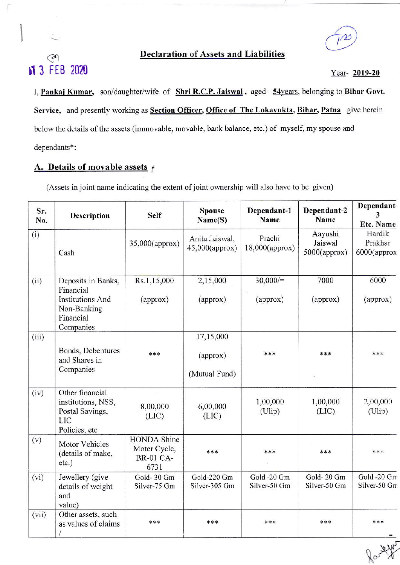# €r Declaration of Assets and Liabilities

rl3 Ft8 <sup>2020</sup> Year- 2019-20

I, Pankaj Kumar, son/daughter/wife of Shri R.C.P. Jaiswal, aged - 54years, belonging to Bihar Govt. Service, and presently working as Section Officer, Office of The Lokayukta, Bihar, Patna give herein below the details of the assets (immovable, movable, bank balance, etc.) of myself, my spouse and dependants\* :

# A. Details of movable assets  $\epsilon$

 $\vert$ 

(Assets in joint name indicating the extent of joint ownership will also have to be given)

| Sr.<br>No. | <b>Self</b><br>Description<br>(i)<br>35,000(approx)<br>Cash                                                       |                            | Spouse<br>Name(S)                      | Dependant-1<br>Name         | Dependant-2<br>Name                   | Dependant.<br>Etc. Name             |  |
|------------|-------------------------------------------------------------------------------------------------------------------|----------------------------|----------------------------------------|-----------------------------|---------------------------------------|-------------------------------------|--|
|            |                                                                                                                   |                            | Anita Jaiswal,<br>$45,000$ (approx)    | Prachi<br>$18,000$ (approx) | Aayushi<br>Jaiswal<br>$5000$ (approx) | Hardik<br>Prakhar<br>$6000$ (approx |  |
| (ii)       | Deposits in Banks,<br>Financial<br><b>Institutions And</b><br>Non-Banking<br>Financial<br>Companies               | Rs.1,15,000<br>(approx)    | 2,15,000<br>(approx)                   | 30,000/<br>(approx)         | 7000<br>(approx)                      | 6000<br>(approx)                    |  |
| (iii)      | Bonds, Debentures<br>***<br>and Shares in<br>Companies                                                            |                            | 17,15,000<br>(approx)<br>(Mutual Fund) | ***                         | ***                                   | ***                                 |  |
| (iv)       | Other financial<br>institutions, NSS,<br>Postal Savings,<br><b>LIC</b><br>Policies, etc                           | 8,00,000<br>(LIC)          | 6,00,000<br>(LIC)                      | 1,00,000<br>(Ulip)          | 1,00,000<br>(LIC)                     | 2,00,000<br>(Ulip)                  |  |
| (v)        | <b>HONDA</b> Shine<br>Motor Vehicles<br>Moter Cycle,<br>(details of make,<br><b>BR-01 CA-</b><br>$etc.$ )<br>6731 |                            | ***                                    | ***                         | ***                                   | ***                                 |  |
| (vi)       | Jewellery (give<br>details of weight<br>and<br>value)                                                             | Gold-30 Gm<br>Silver-75 Gm | Gold-220 Gm<br>Silver-305 Gm           | Gold -20 Gm<br>Silver-50 Gm | Gold-20 Gm<br>Silver-50 Gm            | Gold -20 Gm<br>Silver-50 Gn         |  |
| (vii)      | Other assets, such<br>***<br>as values of claims                                                                  |                            | ***                                    | ***                         | ***                                   | ***                                 |  |

fact you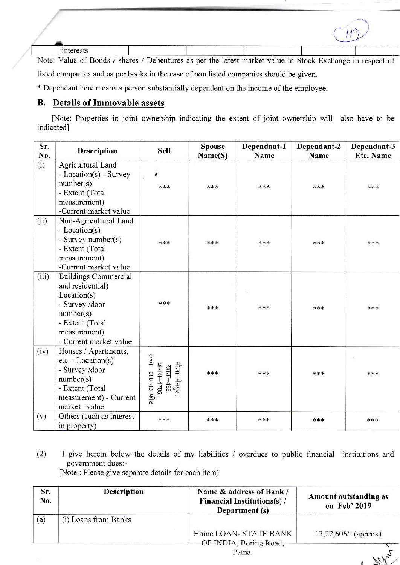interests

Note: Value of Bonds / shares / Debentures as per the latest market value in Stock Exchange in respect of listed companies and as per books in the case of non listed companies should be given.

\* Dependant here means a person substantially dependent on the income of the employee.

## **B.** Details of Immovable assets

[Note: Properties in joint ownership indicating the extent of joint ownership will also have to be indicated]

| Sr.<br>No. | <b>Description</b>                          | <b>Self</b>                              | <b>Spouse</b> | Dependant-1<br>Name | Dependant-2<br>Name | Dependant-3<br><b>Etc. Name</b> |
|------------|---------------------------------------------|------------------------------------------|---------------|---------------------|---------------------|---------------------------------|
|            |                                             |                                          | Name(S)       |                     |                     |                                 |
| (i)        | Agricultural Land<br>- Location(s) - Survey | ¥                                        |               |                     |                     |                                 |
|            | number(s)                                   | ***                                      | ***           | ***                 | ***                 | ***                             |
|            | - Extent (Total                             |                                          |               |                     |                     |                                 |
|            | measurement)                                |                                          |               |                     |                     |                                 |
|            | -Current market value                       |                                          |               |                     |                     |                                 |
| (ii)       | Non-Agricultural Land                       |                                          |               |                     |                     |                                 |
|            | - Location(s)                               |                                          |               |                     |                     |                                 |
|            | - Survey number(s)                          | ***                                      | ***           | ***                 | ***                 | ***                             |
|            | - Extent (Total                             |                                          |               |                     |                     |                                 |
|            | measurement)                                |                                          |               |                     |                     |                                 |
|            | -Current market value                       |                                          |               |                     |                     |                                 |
| (iii)      | <b>Buildings Commercial</b>                 |                                          |               |                     |                     |                                 |
|            | and residential)                            |                                          |               |                     |                     |                                 |
|            | Location(s)                                 |                                          |               |                     |                     |                                 |
|            | - Survey /door                              | ***                                      | ***           | ***                 | ***                 | ***                             |
|            | number(s)                                   |                                          |               |                     |                     |                                 |
|            | - Extent (Total                             |                                          |               |                     |                     |                                 |
|            | measurement)                                |                                          |               |                     |                     |                                 |
|            | - Current market value                      |                                          |               |                     |                     |                                 |
| (iv)       | Houses / Apartments,                        |                                          |               |                     |                     |                                 |
|            | $etc. - Location(s)$                        |                                          |               |                     |                     |                                 |
|            | - Survey /door                              |                                          | ***           | ***                 | ***                 | ***                             |
|            | number(s)                                   |                                          |               |                     |                     |                                 |
|            | - Extent (Total                             | मौजा—मैनपुरा,<br>खाता—455,<br>खसरा—1705, |               |                     |                     |                                 |
|            | measurement) - Current                      | रकवा–680 व0 फीट                          |               |                     |                     |                                 |
|            | market value                                |                                          |               |                     |                     |                                 |
| (v)        | Others (such as interest                    | ***                                      | ***           | ***                 | ***                 | ***                             |
|            | in property)                                |                                          |               |                     |                     |                                 |

 $(2)$ I give herein below the details of my liabilities / overdues to public financial institutions and government dues:-

[Note : Please give separate details for each item)

| Sr.<br>No. | <b>Description</b>   | Name & address of Bank /<br><b>Financial Institutions(s)/</b><br>Department (s) | Amount outstanding as<br>on Feb' 2019 |
|------------|----------------------|---------------------------------------------------------------------------------|---------------------------------------|
| (a)        | (i) Loans from Banks |                                                                                 |                                       |
|            |                      | Home LOAN- STATE BANK<br>OF INDIA, Boring Road,                                 | $13,22,606/=(approx)$                 |
|            |                      | Patna.                                                                          |                                       |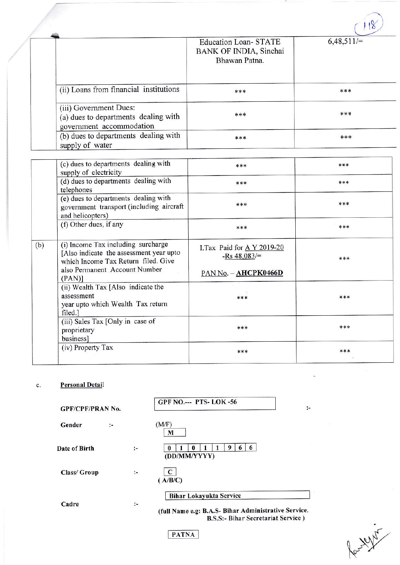|                                                                                            |                                                                        | $\mathbf{a}$ |
|--------------------------------------------------------------------------------------------|------------------------------------------------------------------------|--------------|
|                                                                                            | <b>Education Loan-STATE</b><br>BANK OF INDIA, Sinchai<br>Bhawan Patna. | $6,48,511/=$ |
| (ii) Loans from financial institutions                                                     | ***                                                                    | ***          |
| (iii) Government Dues:<br>(a) dues to departments dealing with<br>government accommodation | ***                                                                    | ***          |
| (b) dues to departments dealing with<br>supply of water                                    | ***                                                                    | $****$       |

|     | (c) dues to departments dealing with<br>supply of electricity                                                                                         | ***                                                                   | *** |
|-----|-------------------------------------------------------------------------------------------------------------------------------------------------------|-----------------------------------------------------------------------|-----|
|     | (d) dues to departments dealing with<br>telephones                                                                                                    | ***                                                                   | *** |
|     | (e) dues to departments dealing with<br>government transport (including aircraft<br>and helicopters)                                                  | ***                                                                   | *** |
|     | (f) Other dues, if any                                                                                                                                | ***                                                                   | *** |
| (b) | (i) Income Tax including surcharge<br>[Also indicate the assessment year upto<br>which Income Tax Return filed. Give<br>also Permanent Account Number | I.Tax Paid for $A$ Y 2019-20<br>-Rs $48,083/$<br>PAN No. - AHCPK0466D | *** |
|     | $(PAN)$ ]<br>(ii) Wealth Tax [Also indicate the<br>assessment<br>year upto which Wealth Tax return<br>filed.]                                         | ***                                                                   | *** |
|     | (iii) Sales Tax [Only in case of<br>proprietary<br>business]                                                                                          | ***                                                                   | *** |
|     | (iv) Property Tax                                                                                                                                     | ***                                                                   | *** |

#### **Personal Detail**  $\mathbf{c}$ .

| <b>GPF/CPF/PRAN No.</b> |   |                      | GPF NO.--- PTS-LOK-56<br>$\ddot{\phantom{1}}$                                                                                |
|-------------------------|---|----------------------|------------------------------------------------------------------------------------------------------------------------------|
| Gender                  | ÷ |                      | (M/F)<br>м                                                                                                                   |
| Date of Birth           |   | $:-$                 | 6<br>6<br>9<br>(DD/MM/YYYY)                                                                                                  |
| Class/ Group            |   | $\ddot{\phantom{1}}$ | C<br>(A/B/C)                                                                                                                 |
| Cadre                   |   | $\ddot{\phantom{a}}$ | <b>Bihar Lokayukta Service</b><br>(full Name e.g: B.A.S- Bihar Administrative Service.<br>B.S.S:- Bihar Secretariat Service) |

**PATNA**